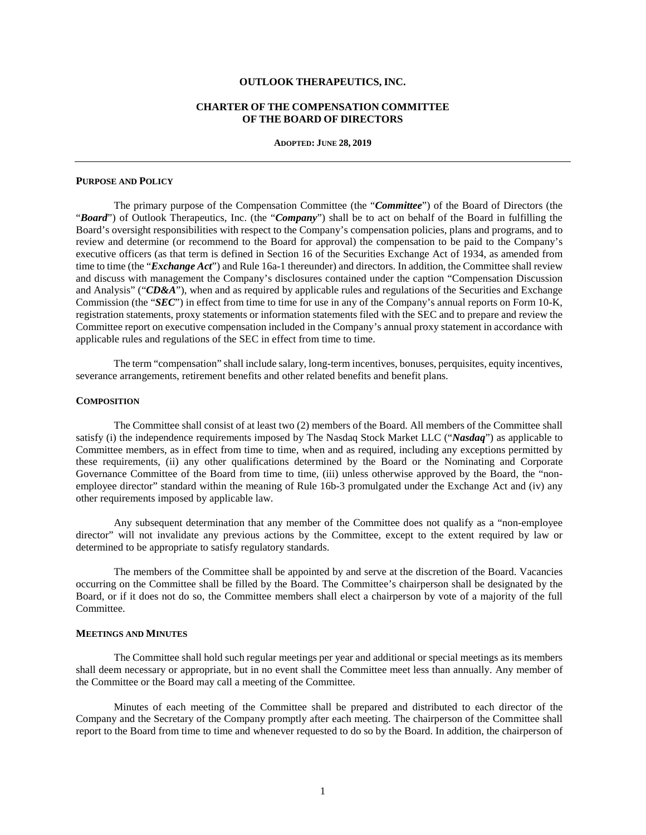# **OUTLOOK THERAPEUTICS, INC.**

# **CHARTER OF THE COMPENSATION COMMITTEE OF THE BOARD OF DIRECTORS**

**ADOPTED: JUNE 28, 2019**

#### **PURPOSE AND POLICY**

The primary purpose of the Compensation Committee (the "*Committee*") of the Board of Directors (the "*Board*") of Outlook Therapeutics, Inc. (the "*Company*") shall be to act on behalf of the Board in fulfilling the Board's oversight responsibilities with respect to the Company's compensation policies, plans and programs, and to review and determine (or recommend to the Board for approval) the compensation to be paid to the Company's executive officers (as that term is defined in Section 16 of the Securities Exchange Act of 1934, as amended from time to time (the "*Exchange Act*") and Rule 16a-1 thereunder) and directors. In addition, the Committee shall review and discuss with management the Company's disclosures contained under the caption "Compensation Discussion and Analysis" ("CD&A"), when and as required by applicable rules and regulations of the Securities and Exchange Commission (the "*SEC*") in effect from time to time for use in any of the Company's annual reports on Form 10-K, registration statements, proxy statements or information statements filed with the SEC and to prepare and review the Committee report on executive compensation included in the Company's annual proxy statement in accordance with applicable rules and regulations of the SEC in effect from time to time.

The term "compensation" shall include salary, long-term incentives, bonuses, perquisites, equity incentives, severance arrangements, retirement benefits and other related benefits and benefit plans.

### **COMPOSITION**

The Committee shall consist of at least two (2) members of the Board. All members of the Committee shall satisfy (i) the independence requirements imposed by The Nasdaq Stock Market LLC ("*Nasdaq*") as applicable to Committee members, as in effect from time to time, when and as required, including any exceptions permitted by these requirements, (ii) any other qualifications determined by the Board or the Nominating and Corporate Governance Committee of the Board from time to time, (iii) unless otherwise approved by the Board, the "nonemployee director" standard within the meaning of Rule 16b-3 promulgated under the Exchange Act and (iv) any other requirements imposed by applicable law.

Any subsequent determination that any member of the Committee does not qualify as a "non-employee director" will not invalidate any previous actions by the Committee, except to the extent required by law or determined to be appropriate to satisfy regulatory standards.

The members of the Committee shall be appointed by and serve at the discretion of the Board. Vacancies occurring on the Committee shall be filled by the Board. The Committee's chairperson shall be designated by the Board, or if it does not do so, the Committee members shall elect a chairperson by vote of a majority of the full Committee.

### **MEETINGS AND MINUTES**

The Committee shall hold such regular meetings per year and additional or special meetings as its members shall deem necessary or appropriate, but in no event shall the Committee meet less than annually. Any member of the Committee or the Board may call a meeting of the Committee.

Minutes of each meeting of the Committee shall be prepared and distributed to each director of the Company and the Secretary of the Company promptly after each meeting. The chairperson of the Committee shall report to the Board from time to time and whenever requested to do so by the Board. In addition, the chairperson of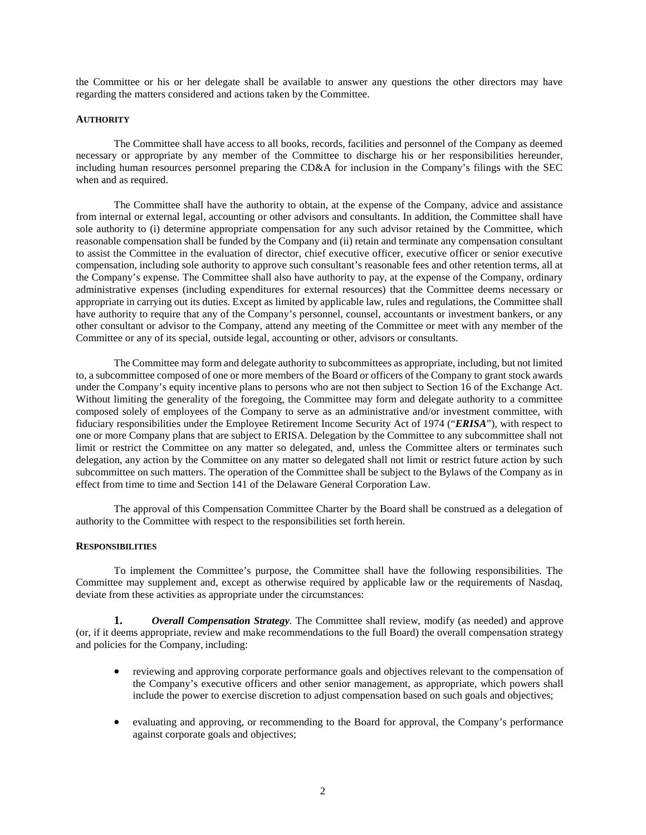the Committee or his or her delegate shall be available to answer any questions the other directors may have regarding the matters considered and actions taken by the Committee.

### **AUTHORITY**

The Committee shall have access to all books, records, facilities and personnel of the Company as deemed necessary or appropriate by any member of the Committee to discharge his or her responsibilities hereunder, including human resources personnel preparing the CD&A for inclusion in the Company's filings with the SEC when and as required.

The Committee shall have the authority to obtain, at the expense of the Company, advice and assistance from internal or external legal, accounting or other advisors and consultants. In addition, the Committee shall have sole authority to (i) determine appropriate compensation for any such advisor retained by the Committee, which reasonable compensation shall be funded by the Company and (ii) retain and terminate any compensation consultant to assist the Committee in the evaluation of director, chief executive officer, executive officer or senior executive compensation, including sole authority to approve such consultant's reasonable fees and other retention terms, all at the Company's expense. The Committee shall also have authority to pay, at the expense of the Company, ordinary administrative expenses (including expenditures for external resources) that the Committee deems necessary or appropriate in carrying out its duties. Except as limited by applicable law, rules and regulations, the Committee shall have authority to require that any of the Company's personnel, counsel, accountants or investment bankers, or any other consultant or advisor to the Company, attend any meeting of the Committee or meet with any member of the Committee or any of its special, outside legal, accounting or other, advisors or consultants.

The Committee may form and delegate authority to subcommittees as appropriate, including, but not limited to, a subcommittee composed of one or more members of the Board or officers of the Company to grant stock awards under the Company's equity incentive plans to persons who are not then subject to Section 16 of the Exchange Act. Without limiting the generality of the foregoing, the Committee may form and delegate authority to a committee composed solely of employees of the Company to serve as an administrative and/or investment committee, with fiduciary responsibilities under the Employee Retirement Income Security Act of 1974 ("*ERISA*"), with respect to one or more Company plans that are subject to ERISA. Delegation by the Committee to any subcommittee shall not limit or restrict the Committee on any matter so delegated, and, unless the Committee alters or terminates such delegation, any action by the Committee on any matter so delegated shall not limit or restrict future action by such subcommittee on such matters. The operation of the Committee shall be subject to the Bylaws of the Company as in effect from time to time and Section 141 of the Delaware General Corporation Law.

The approval of this Compensation Committee Charter by the Board shall be construed as a delegation of authority to the Committee with respect to the responsibilities set forth herein.

# **RESPONSIBILITIES**

To implement the Committee's purpose, the Committee shall have the following responsibilities. The Committee may supplement and, except as otherwise required by applicable law or the requirements of Nasdaq, deviate from these activities as appropriate under the circumstances:

**1.** *Overall Compensation Strategy.* The Committee shall review, modify (as needed) and approve (or, if it deems appropriate, review and make recommendations to the full Board) the overall compensation strategy and policies for the Company, including:

- reviewing and approving corporate performance goals and objectives relevant to the compensation of the Company's executive officers and other senior management, as appropriate, which powers shall include the power to exercise discretion to adjust compensation based on such goals and objectives;
- evaluating and approving, or recommending to the Board for approval, the Company's performance against corporate goals and objectives;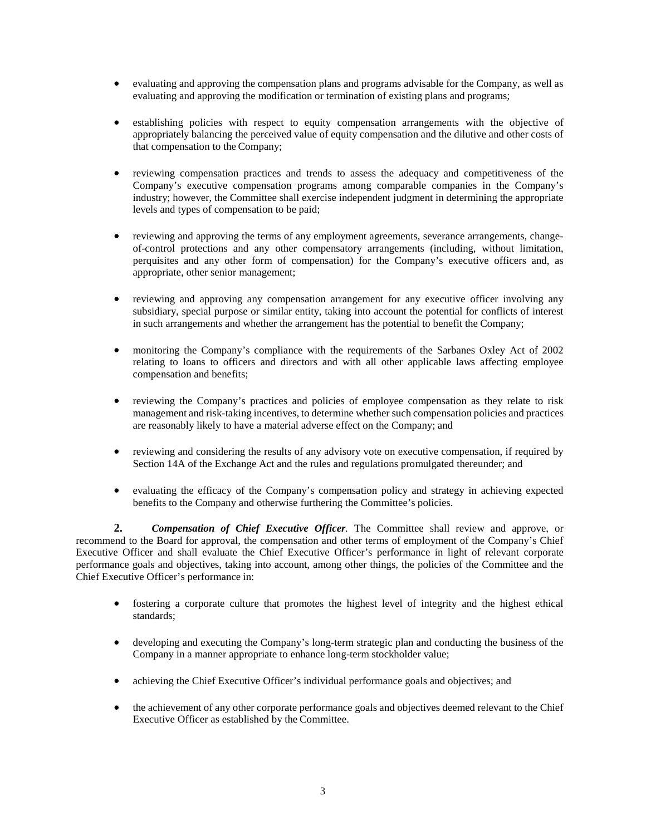- evaluating and approving the compensation plans and programs advisable for the Company, as well as evaluating and approving the modification or termination of existing plans and programs;
- establishing policies with respect to equity compensation arrangements with the objective of appropriately balancing the perceived value of equity compensation and the dilutive and other costs of that compensation to the Company;
- reviewing compensation practices and trends to assess the adequacy and competitiveness of the Company's executive compensation programs among comparable companies in the Company's industry; however, the Committee shall exercise independent judgment in determining the appropriate levels and types of compensation to be paid;
- reviewing and approving the terms of any employment agreements, severance arrangements, changeof-control protections and any other compensatory arrangements (including, without limitation, perquisites and any other form of compensation) for the Company's executive officers and, as appropriate, other senior management;
- reviewing and approving any compensation arrangement for any executive officer involving any subsidiary, special purpose or similar entity, taking into account the potential for conflicts of interest in such arrangements and whether the arrangement has the potential to benefit the Company;
- monitoring the Company's compliance with the requirements of the Sarbanes Oxley Act of 2002 relating to loans to officers and directors and with all other applicable laws affecting employee compensation and benefits;
- reviewing the Company's practices and policies of employee compensation as they relate to risk management and risk-taking incentives, to determine whether such compensation policies and practices are reasonably likely to have a material adverse effect on the Company; and
- reviewing and considering the results of any advisory vote on executive compensation, if required by Section 14A of the Exchange Act and the rules and regulations promulgated thereunder; and
- evaluating the efficacy of the Company's compensation policy and strategy in achieving expected benefits to the Company and otherwise furthering the Committee's policies.

**2.** *Compensation of Chief Executive Officer.* The Committee shall review and approve, or recommend to the Board for approval, the compensation and other terms of employment of the Company's Chief Executive Officer and shall evaluate the Chief Executive Officer's performance in light of relevant corporate performance goals and objectives, taking into account, among other things, the policies of the Committee and the Chief Executive Officer's performance in:

- fostering a corporate culture that promotes the highest level of integrity and the highest ethical standards;
- developing and executing the Company's long-term strategic plan and conducting the business of the Company in a manner appropriate to enhance long-term stockholder value;
- achieving the Chief Executive Officer's individual performance goals and objectives; and
- the achievement of any other corporate performance goals and objectives deemed relevant to the Chief Executive Officer as established by the Committee.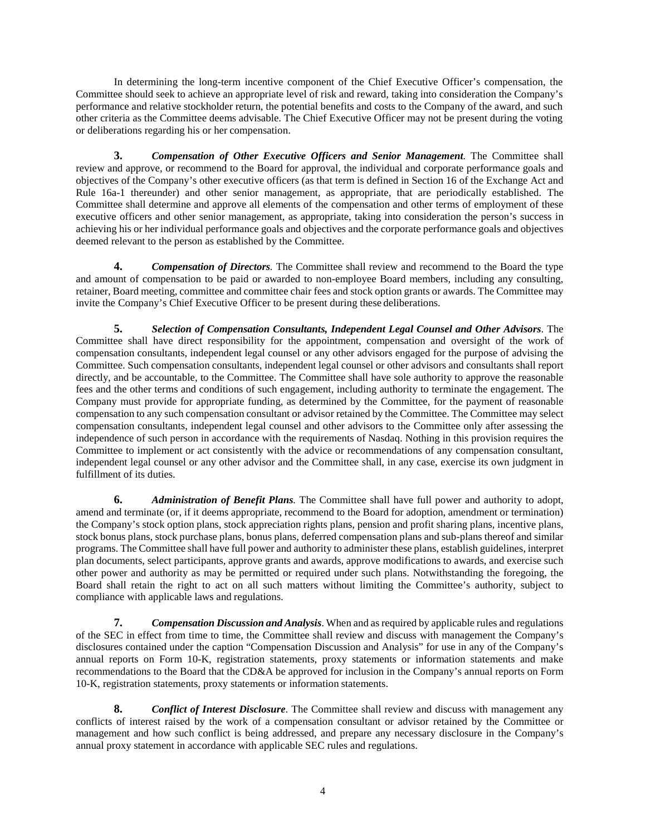In determining the long-term incentive component of the Chief Executive Officer's compensation, the Committee should seek to achieve an appropriate level of risk and reward, taking into consideration the Company's performance and relative stockholder return, the potential benefits and costs to the Company of the award, and such other criteria as the Committee deems advisable. The Chief Executive Officer may not be present during the voting or deliberations regarding his or her compensation.

**3.** *Compensation of Other Executive Officers and Senior Management.* The Committee shall review and approve, or recommend to the Board for approval, the individual and corporate performance goals and objectives of the Company's other executive officers (as that term is defined in Section 16 of the Exchange Act and Rule 16a-1 thereunder) and other senior management, as appropriate, that are periodically established. The Committee shall determine and approve all elements of the compensation and other terms of employment of these executive officers and other senior management, as appropriate, taking into consideration the person's success in achieving his or her individual performance goals and objectives and the corporate performance goals and objectives deemed relevant to the person as established by the Committee.

**4.** *Compensation of Directors.* The Committee shall review and recommend to the Board the type and amount of compensation to be paid or awarded to non-employee Board members, including any consulting, retainer, Board meeting, committee and committee chair fees and stock option grants or awards. The Committee may invite the Company's Chief Executive Officer to be present during these deliberations.

**5.** *Selection of Compensation Consultants, Independent Legal Counsel and Other Advisors*. The Committee shall have direct responsibility for the appointment, compensation and oversight of the work of compensation consultants, independent legal counsel or any other advisors engaged for the purpose of advising the Committee. Such compensation consultants, independent legal counsel or other advisors and consultants shall report directly, and be accountable, to the Committee. The Committee shall have sole authority to approve the reasonable fees and the other terms and conditions of such engagement, including authority to terminate the engagement. The Company must provide for appropriate funding, as determined by the Committee, for the payment of reasonable compensation to any such compensation consultant or advisor retained by the Committee. The Committee may select compensation consultants, independent legal counsel and other advisors to the Committee only after assessing the independence of such person in accordance with the requirements of Nasdaq. Nothing in this provision requires the Committee to implement or act consistently with the advice or recommendations of any compensation consultant, independent legal counsel or any other advisor and the Committee shall, in any case, exercise its own judgment in fulfillment of its duties.

**6.** *Administration of Benefit Plans.* The Committee shall have full power and authority to adopt, amend and terminate (or, if it deems appropriate, recommend to the Board for adoption, amendment or termination) the Company's stock option plans, stock appreciation rights plans, pension and profit sharing plans, incentive plans, stock bonus plans, stock purchase plans, bonus plans, deferred compensation plans and sub-plans thereof and similar programs. The Committee shall have full power and authority to administer these plans, establish guidelines, interpret plan documents, select participants, approve grants and awards, approve modifications to awards, and exercise such other power and authority as may be permitted or required under such plans. Notwithstanding the foregoing, the Board shall retain the right to act on all such matters without limiting the Committee's authority, subject to compliance with applicable laws and regulations.

**7.** *Compensation Discussion and Analysis*. When and as required by applicable rules and regulations of the SEC in effect from time to time, the Committee shall review and discuss with management the Company's disclosures contained under the caption "Compensation Discussion and Analysis" for use in any of the Company's annual reports on Form 10-K, registration statements, proxy statements or information statements and make recommendations to the Board that the CD&A be approved for inclusion in the Company's annual reports on Form 10-K, registration statements, proxy statements or information statements.

**8.** *Conflict of Interest Disclosure*. The Committee shall review and discuss with management any conflicts of interest raised by the work of a compensation consultant or advisor retained by the Committee or management and how such conflict is being addressed, and prepare any necessary disclosure in the Company's annual proxy statement in accordance with applicable SEC rules and regulations.